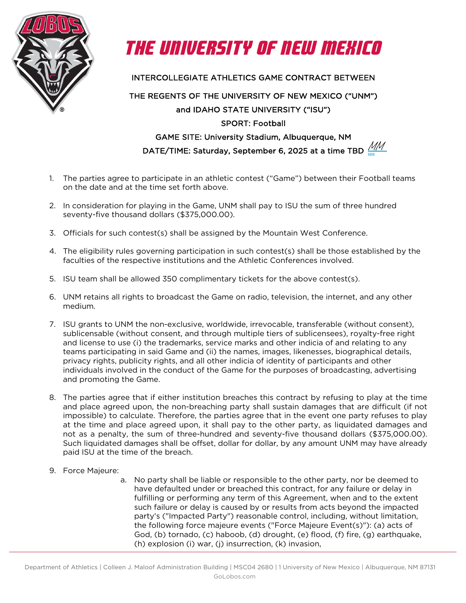



INTERCOLLEGIATE ATHLETICS GAME CONTRACT BETWEEN

## THE REGENTS OF THE UNIVERSITY OF NEW MEXICO ("UNM") and IDAHO STATE UNIVERSITY ("ISU") SPORT: Football GAME SITE: University Stadium, Albuquerque, NM

DATE/TIME: Saturday, September 6, 2025 at a time TBD  $\frac{\mu}{\rm MM}$ MM

- 1. The parties agree to participate in an athletic contest ("Game") between their Football teams on the date and at the time set forth above.
- 2. In consideration for playing in the Game, UNM shall pay to ISU the sum of three hundred seventy-five thousand dollars (\$375,000.00).
- 3. Officials for such contest(s) shall be assigned by the Mountain West Conference.
- 4. The eligibility rules governing participation in such contest(s) shall be those established by the faculties of the respective institutions and the Athletic Conferences involved.
- 5. ISU team shall be allowed 350 complimentary tickets for the above contest(s).
- 6. UNM retains all rights to broadcast the Game on radio, television, the internet, and any other medium.
- 7. ISU grants to UNM the non-exclusive, worldwide, irrevocable, transferable (without consent), sublicensable (without consent, and through multiple tiers of sublicensees), royalty-free right and license to use (i) the trademarks, service marks and other indicia of and relating to any teams participating in said Game and (ii) the names, images, likenesses, biographical details, privacy rights, publicity rights, and all other indicia of identity of participants and other individuals involved in the conduct of the Game for the purposes of broadcasting, advertising and promoting the Game.
- 8. The parties agree that if either institution breaches this contract by refusing to play at the time and place agreed upon, the non-breaching party shall sustain damages that are difficult (if not impossible) to calculate. Therefore, the parties agree that in the event one party refuses to play at the time and place agreed upon, it shall pay to the other party, as liquidated damages and not as a penalty, the sum of three-hundred and seventy-five thousand dollars (\$375,000.00). Such liquidated damages shall be offset, dollar for dollar, by any amount UNM may have already paid ISU at the time of the breach.
- 9. Force Majeure:
	- a. No party shall be liable or responsible to the other party, nor be deemed to have defaulted under or breached this contract, for any failure or delay in fulfilling or performing any term of this Agreement, when and to the extent such failure or delay is caused by or results from acts beyond the impacted party's ("Impacted Party") reasonable control, including, without limitation, the following force majeure events ("Force Majeure Event(s)"): (a) acts of God, (b) tornado, (c) haboob, (d) drought, (e) flood, (f) fire, (g) earthquake, (h) explosion (i) war, (j) insurrection, (k) invasion,